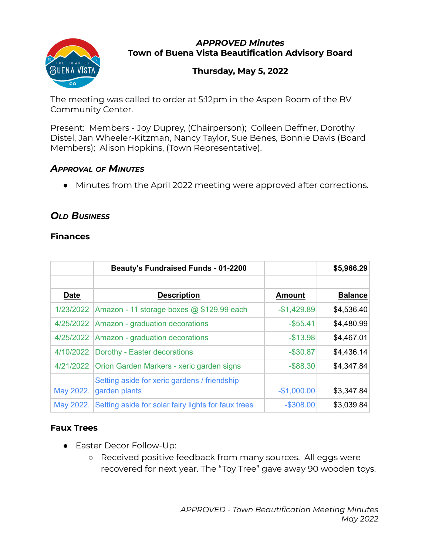

#### *APPROVED Minutes* **Town of Buena Vista Beautification Advisory Board**

# **Thursday, May 5, 2022**

The meeting was called to order at 5:12pm in the Aspen Room of the BV Community Center.

Present: Members - Joy Duprey, (Chairperson); Colleen Deffner, Dorothy Distel, Jan Wheeler-Kitzman, Nancy Taylor, Sue Benes, Bonnie Davis (Board Members); Alison Hopkins, (Town Representative).

### *APPROVAL OF MINUTES*

• Minutes from the April 2022 meeting were approved after corrections.

# *OLD BUSINESS*

### **Finances**

|             | <b>Beauty's Fundraised Funds - 01-2200</b>                    |               | \$5,966.29     |
|-------------|---------------------------------------------------------------|---------------|----------------|
| <b>Date</b> | <b>Description</b>                                            | <b>Amount</b> | <b>Balance</b> |
| 1/23/2022   | Amazon - 11 storage boxes @ \$129.99 each                     | $-$1,429.89$  | \$4,536.40     |
| 4/25/2022   | Amazon - graduation decorations                               | $-$ \$55.41   | \$4,480.99     |
| 4/25/2022   | Amazon - graduation decorations                               | $-$13.98$     | \$4,467.01     |
| 4/10/2022   | Dorothy - Easter decorations                                  | $-$ \$30.87   | \$4,436.14     |
| 4/21/2022   | Orion Garden Markers - xeric garden signs                     | $-$ \$88.30   | \$4,347.84     |
| May 2022.   | Setting aside for xeric gardens / friendship<br>garden plants | $-$1,000.00$  | \$3,347.84     |
| May 2022.   | Setting aside for solar fairy lights for faux trees           | $-$ \$308.00  | \$3,039.84     |

### **Faux Trees**

- Easter Decor Follow-Up:
	- Received positive feedback from many sources. All eggs were recovered for next year. The "Toy Tree" gave away 90 wooden toys.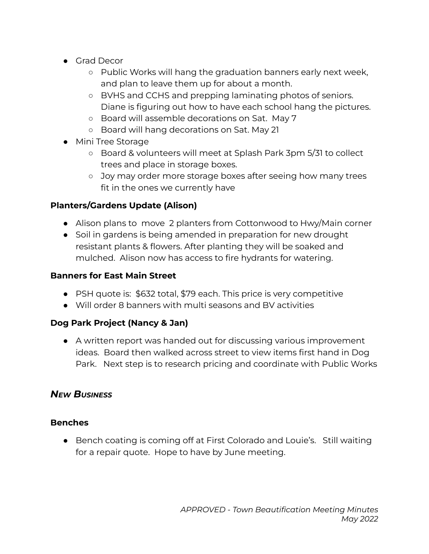- Grad Decor
	- Public Works will hang the graduation banners early next week, and plan to leave them up for about a month.
	- BVHS and CCHS and prepping laminating photos of seniors. Diane is figuring out how to have each school hang the pictures.
	- Board will assemble decorations on Sat. May 7
	- Board will hang decorations on Sat. May 21
- Mini Tree Storage
	- Board & volunteers will meet at Splash Park 3pm 5/31 to collect trees and place in storage boxes.
	- Joy may order more storage boxes after seeing how many trees fit in the ones we currently have

# **Planters/Gardens Update (Alison)**

- Alison plans to move 2 planters from Cottonwood to Hwy/Main corner
- Soil in gardens is being amended in preparation for new drought resistant plants & flowers. After planting they will be soaked and mulched. Alison now has access to fire hydrants for watering.

### **Banners for East Main Street**

- PSH quote is: \$632 total, \$79 each. This price is very competitive
- Will order 8 banners with multi seasons and BV activities

# **Dog Park Project (Nancy & Jan)**

● A written report was handed out for discussing various improvement ideas. Board then walked across street to view items first hand in Dog Park. Next step is to research pricing and coordinate with Public Works

# *NEW BUSINESS*

### **Benches**

● Bench coating is coming off at First Colorado and Louie's. Still waiting for a repair quote. Hope to have by June meeting.